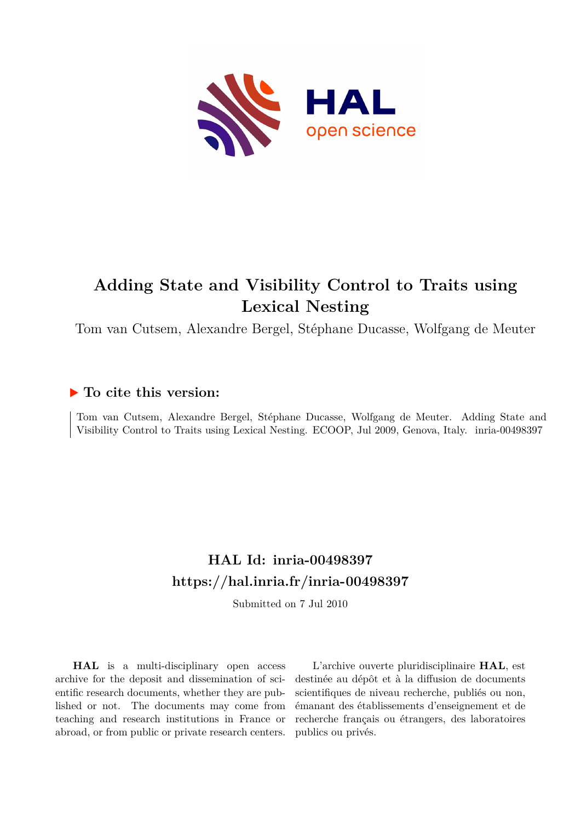

# **Adding State and Visibility Control to Traits using Lexical Nesting**

Tom van Cutsem, Alexandre Bergel, Stéphane Ducasse, Wolfgang de Meuter

# **To cite this version:**

Tom van Cutsem, Alexandre Bergel, Stéphane Ducasse, Wolfgang de Meuter. Adding State and Visibility Control to Traits using Lexical Nesting. ECOOP, Jul 2009, Genova, Italy. inria-00498397

# **HAL Id: inria-00498397 <https://hal.inria.fr/inria-00498397>**

Submitted on 7 Jul 2010

**HAL** is a multi-disciplinary open access archive for the deposit and dissemination of scientific research documents, whether they are published or not. The documents may come from teaching and research institutions in France or abroad, or from public or private research centers.

L'archive ouverte pluridisciplinaire **HAL**, est destinée au dépôt et à la diffusion de documents scientifiques de niveau recherche, publiés ou non, émanant des établissements d'enseignement et de recherche français ou étrangers, des laboratoires publics ou privés.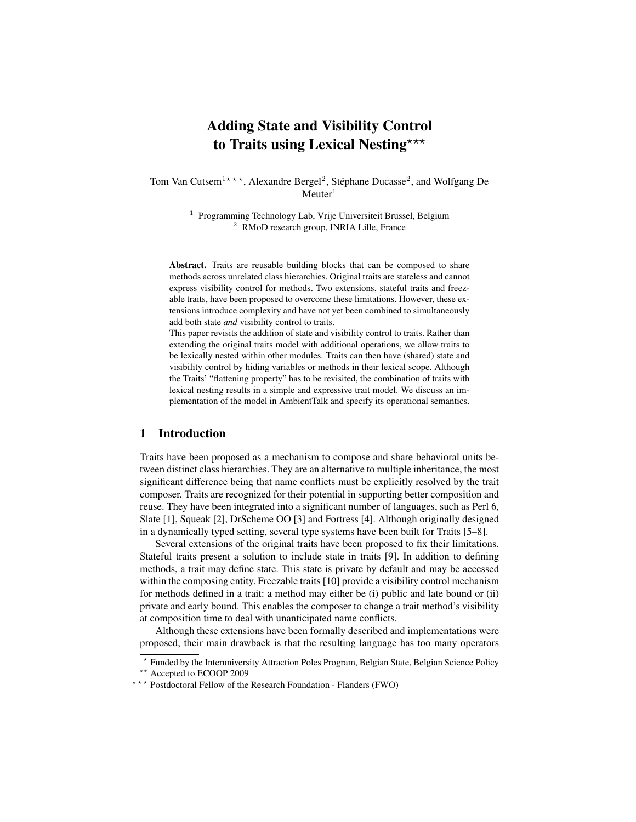# Adding State and Visibility Control to Traits using Lexical Nesting \*\*\*

Tom Van Cutsem<sup>1\*\*\*</sup>, Alexandre Bergel<sup>2</sup>, Stéphane Ducasse<sup>2</sup>, and Wolfgang De  $M$ euter $1$ 

> <sup>1</sup> Programming Technology Lab, Vrije Universiteit Brussel, Belgium <sup>2</sup> RMoD research group, INRIA Lille, France

Abstract. Traits are reusable building blocks that can be composed to share methods across unrelated class hierarchies. Original traits are stateless and cannot express visibility control for methods. Two extensions, stateful traits and freezable traits, have been proposed to overcome these limitations. However, these extensions introduce complexity and have not yet been combined to simultaneously add both state *and* visibility control to traits.

This paper revisits the addition of state and visibility control to traits. Rather than extending the original traits model with additional operations, we allow traits to be lexically nested within other modules. Traits can then have (shared) state and visibility control by hiding variables or methods in their lexical scope. Although the Traits' "flattening property" has to be revisited, the combination of traits with lexical nesting results in a simple and expressive trait model. We discuss an implementation of the model in AmbientTalk and specify its operational semantics.

# 1 Introduction

Traits have been proposed as a mechanism to compose and share behavioral units between distinct class hierarchies. They are an alternative to multiple inheritance, the most significant difference being that name conflicts must be explicitly resolved by the trait composer. Traits are recognized for their potential in supporting better composition and reuse. They have been integrated into a significant number of languages, such as Perl 6, Slate [1], Squeak [2], DrScheme OO [3] and Fortress [4]. Although originally designed in a dynamically typed setting, several type systems have been built for Traits [5–8].

Several extensions of the original traits have been proposed to fix their limitations. Stateful traits present a solution to include state in traits [9]. In addition to defining methods, a trait may define state. This state is private by default and may be accessed within the composing entity. Freezable traits [10] provide a visibility control mechanism for methods defined in a trait: a method may either be (i) public and late bound or (ii) private and early bound. This enables the composer to change a trait method's visibility at composition time to deal with unanticipated name conflicts.

Although these extensions have been formally described and implementations were proposed, their main drawback is that the resulting language has too many operators

<sup>⋆</sup> Funded by the Interuniversity Attraction Poles Program, Belgian State, Belgian Science Policy

<sup>\*\*</sup> Accepted to ECOOP 2009

<sup>\*\*\*</sup> Postdoctoral Fellow of the Research Foundation - Flanders (FWO)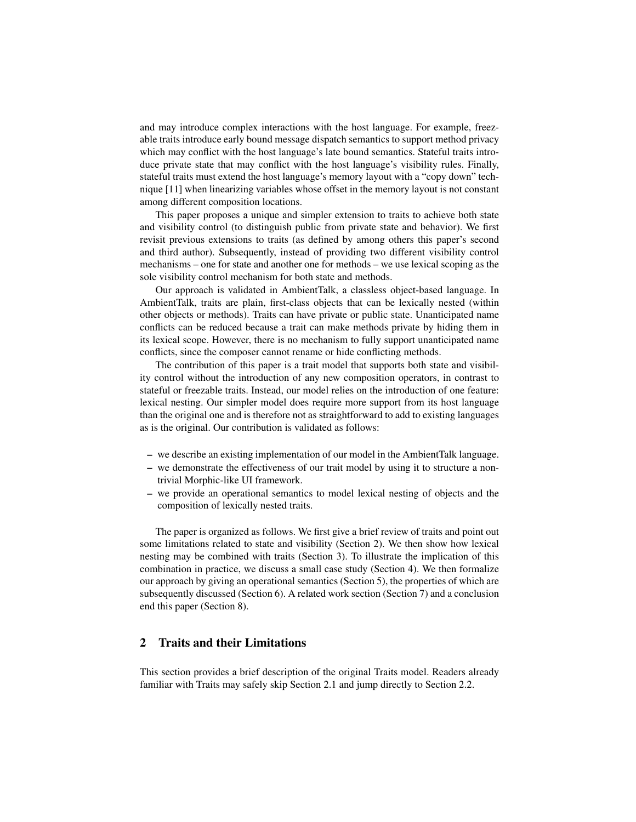and may introduce complex interactions with the host language. For example, freezable traits introduce early bound message dispatch semantics to support method privacy which may conflict with the host language's late bound semantics. Stateful traits introduce private state that may conflict with the host language's visibility rules. Finally, stateful traits must extend the host language's memory layout with a "copy down" technique [11] when linearizing variables whose offset in the memory layout is not constant among different composition locations.

This paper proposes a unique and simpler extension to traits to achieve both state and visibility control (to distinguish public from private state and behavior). We first revisit previous extensions to traits (as defined by among others this paper's second and third author). Subsequently, instead of providing two different visibility control mechanisms – one for state and another one for methods – we use lexical scoping as the sole visibility control mechanism for both state and methods.

Our approach is validated in AmbientTalk, a classless object-based language. In AmbientTalk, traits are plain, first-class objects that can be lexically nested (within other objects or methods). Traits can have private or public state. Unanticipated name conflicts can be reduced because a trait can make methods private by hiding them in its lexical scope. However, there is no mechanism to fully support unanticipated name conflicts, since the composer cannot rename or hide conflicting methods.

The contribution of this paper is a trait model that supports both state and visibility control without the introduction of any new composition operators, in contrast to stateful or freezable traits. Instead, our model relies on the introduction of one feature: lexical nesting. Our simpler model does require more support from its host language than the original one and is therefore not as straightforward to add to existing languages as is the original. Our contribution is validated as follows:

- we describe an existing implementation of our model in the AmbientTalk language.
- we demonstrate the effectiveness of our trait model by using it to structure a nontrivial Morphic-like UI framework.
- we provide an operational semantics to model lexical nesting of objects and the composition of lexically nested traits.

The paper is organized as follows. We first give a brief review of traits and point out some limitations related to state and visibility (Section 2). We then show how lexical nesting may be combined with traits (Section 3). To illustrate the implication of this combination in practice, we discuss a small case study (Section 4). We then formalize our approach by giving an operational semantics (Section 5), the properties of which are subsequently discussed (Section 6). A related work section (Section 7) and a conclusion end this paper (Section 8).

# 2 Traits and their Limitations

This section provides a brief description of the original Traits model. Readers already familiar with Traits may safely skip Section 2.1 and jump directly to Section 2.2.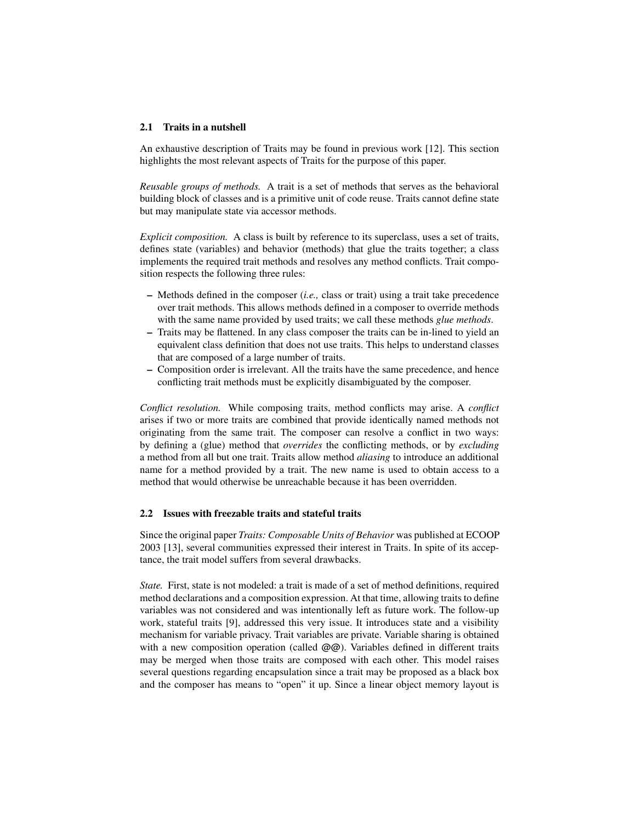#### 2.1 Traits in a nutshell

An exhaustive description of Traits may be found in previous work [12]. This section highlights the most relevant aspects of Traits for the purpose of this paper.

*Reusable groups of methods.* A trait is a set of methods that serves as the behavioral building block of classes and is a primitive unit of code reuse. Traits cannot define state but may manipulate state via accessor methods.

*Explicit composition.* A class is built by reference to its superclass, uses a set of traits, defines state (variables) and behavior (methods) that glue the traits together; a class implements the required trait methods and resolves any method conflicts. Trait composition respects the following three rules:

- Methods defined in the composer (*i.e.,* class or trait) using a trait take precedence over trait methods. This allows methods defined in a composer to override methods with the same name provided by used traits; we call these methods *glue methods*.
- Traits may be flattened. In any class composer the traits can be in-lined to yield an equivalent class definition that does not use traits. This helps to understand classes that are composed of a large number of traits.
- Composition order is irrelevant. All the traits have the same precedence, and hence conflicting trait methods must be explicitly disambiguated by the composer.

*Conflict resolution.* While composing traits, method conflicts may arise. A *conflict* arises if two or more traits are combined that provide identically named methods not originating from the same trait. The composer can resolve a conflict in two ways: by defining a (glue) method that *overrides* the conflicting methods, or by *excluding* a method from all but one trait. Traits allow method *aliasing* to introduce an additional name for a method provided by a trait. The new name is used to obtain access to a method that would otherwise be unreachable because it has been overridden.

## 2.2 Issues with freezable traits and stateful traits

Since the original paper *Traits: Composable Units of Behavior* was published at ECOOP 2003 [13], several communities expressed their interest in Traits. In spite of its acceptance, the trait model suffers from several drawbacks.

*State.* First, state is not modeled: a trait is made of a set of method definitions, required method declarations and a composition expression. At that time, allowing traits to define variables was not considered and was intentionally left as future work. The follow-up work, stateful traits [9], addressed this very issue. It introduces state and a visibility mechanism for variable privacy. Trait variables are private. Variable sharing is obtained with a new composition operation (called  $\omega(\omega)$ ). Variables defined in different traits may be merged when those traits are composed with each other. This model raises several questions regarding encapsulation since a trait may be proposed as a black box and the composer has means to "open" it up. Since a linear object memory layout is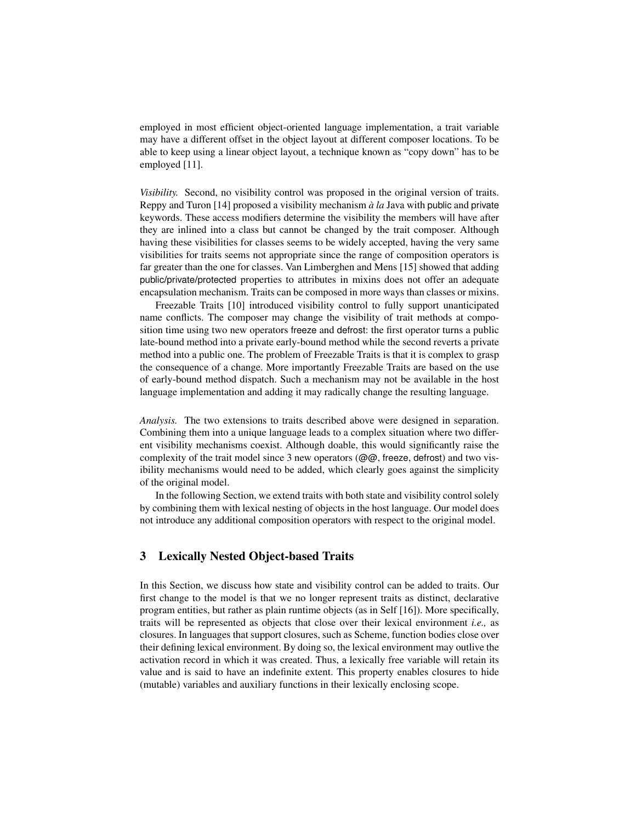employed in most efficient object-oriented language implementation, a trait variable may have a different offset in the object layout at different composer locations. To be able to keep using a linear object layout, a technique known as "copy down" has to be employed [11].

*Visibility.* Second, no visibility control was proposed in the original version of traits. Reppy and Turon [14] proposed a visibility mechanism *a la `* Java with public and private keywords. These access modifiers determine the visibility the members will have after they are inlined into a class but cannot be changed by the trait composer. Although having these visibilities for classes seems to be widely accepted, having the very same visibilities for traits seems not appropriate since the range of composition operators is far greater than the one for classes. Van Limberghen and Mens [15] showed that adding public/private/protected properties to attributes in mixins does not offer an adequate encapsulation mechanism. Traits can be composed in more ways than classes or mixins.

Freezable Traits [10] introduced visibility control to fully support unanticipated name conflicts. The composer may change the visibility of trait methods at composition time using two new operators freeze and defrost: the first operator turns a public late-bound method into a private early-bound method while the second reverts a private method into a public one. The problem of Freezable Traits is that it is complex to grasp the consequence of a change. More importantly Freezable Traits are based on the use of early-bound method dispatch. Such a mechanism may not be available in the host language implementation and adding it may radically change the resulting language.

*Analysis.* The two extensions to traits described above were designed in separation. Combining them into a unique language leads to a complex situation where two different visibility mechanisms coexist. Although doable, this would significantly raise the complexity of the trait model since 3 new operators (@@, freeze, defrost) and two visibility mechanisms would need to be added, which clearly goes against the simplicity of the original model.

In the following Section, we extend traits with both state and visibility control solely by combining them with lexical nesting of objects in the host language. Our model does not introduce any additional composition operators with respect to the original model.

# 3 Lexically Nested Object-based Traits

In this Section, we discuss how state and visibility control can be added to traits. Our first change to the model is that we no longer represent traits as distinct, declarative program entities, but rather as plain runtime objects (as in Self [16]). More specifically, traits will be represented as objects that close over their lexical environment *i.e.,* as closures. In languages that support closures, such as Scheme, function bodies close over their defining lexical environment. By doing so, the lexical environment may outlive the activation record in which it was created. Thus, a lexically free variable will retain its value and is said to have an indefinite extent. This property enables closures to hide (mutable) variables and auxiliary functions in their lexically enclosing scope.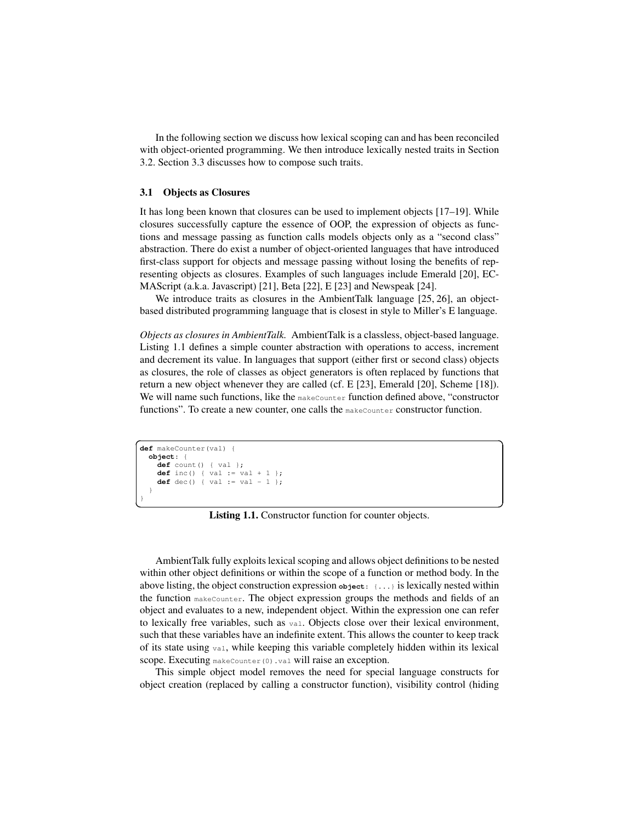In the following section we discuss how lexical scoping can and has been reconciled with object-oriented programming. We then introduce lexically nested traits in Section 3.2. Section 3.3 discusses how to compose such traits.

#### 3.1 Objects as Closures

It has long been known that closures can be used to implement objects [17–19]. While closures successfully capture the essence of OOP, the expression of objects as functions and message passing as function calls models objects only as a "second class" abstraction. There do exist a number of object-oriented languages that have introduced first-class support for objects and message passing without losing the benefits of representing objects as closures. Examples of such languages include Emerald [20], EC-MAScript (a.k.a. Javascript) [21], Beta [22], E [23] and Newspeak [24].

We introduce traits as closures in the AmbientTalk language [25, 26], an objectbased distributed programming language that is closest in style to Miller's E language.

*Objects as closures in AmbientTalk.* AmbientTalk is a classless, object-based language. Listing 1.1 defines a simple counter abstraction with operations to access, increment and decrement its value. In languages that support (either first or second class) objects as closures, the role of classes as object generators is often replaced by functions that return a new object whenever they are called (cf. E [23], Emerald [20], Scheme [18]). We will name such functions, like the makeCounter function defined above, "constructor functions". To create a new counter, one calls the  $_{makeCounter}$  constructor function.

```
\overline{\phantom{a}}def makeCounter(val) {
 object: {
   def count() { val };
   def inc() { val := val + 1 };
   def dec() { val := val - 1 };
  }
}
```
✝ ✆ Listing 1.1. Constructor function for counter objects.

AmbientTalk fully exploits lexical scoping and allows object definitions to be nested within other object definitions or within the scope of a function or method body. In the above listing, the object construction expression **object**: {...} is lexically nested within the function makeCounter. The object expression groups the methods and fields of an object and evaluates to a new, independent object. Within the expression one can refer to lexically free variables, such as val. Objects close over their lexical environment, such that these variables have an indefinite extent. This allows the counter to keep track of its state using val, while keeping this variable completely hidden within its lexical scope. Executing makeCounter(0).val will raise an exception.

This simple object model removes the need for special language constructs for object creation (replaced by calling a constructor function), visibility control (hiding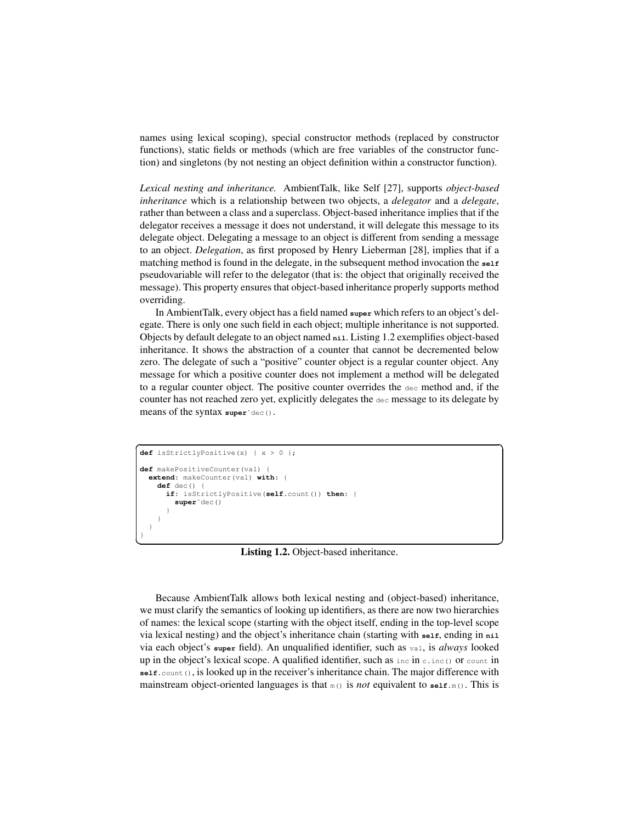names using lexical scoping), special constructor methods (replaced by constructor functions), static fields or methods (which are free variables of the constructor function) and singletons (by not nesting an object definition within a constructor function).

*Lexical nesting and inheritance.* AmbientTalk, like Self [27], supports *object-based inheritance* which is a relationship between two objects, a *delegator* and a *delegate*, rather than between a class and a superclass. Object-based inheritance implies that if the delegator receives a message it does not understand, it will delegate this message to its delegate object. Delegating a message to an object is different from sending a message to an object. *Delegation*, as first proposed by Henry Lieberman [28], implies that if a matching method is found in the delegate, in the subsequent method invocation the **self** pseudovariable will refer to the delegator (that is: the object that originally received the message). This property ensures that object-based inheritance properly supports method overriding.

In AmbientTalk, every object has a field named **super** which refers to an object's delegate. There is only one such field in each object; multiple inheritance is not supported. Objects by default delegate to an object named nil. Listing 1.2 exemplifies object-based inheritance. It shows the abstraction of a counter that cannot be decremented below zero. The delegate of such a "positive" counter object is a regular counter object. Any message for which a positive counter does not implement a method will be delegated to a regular counter object. The positive counter overrides the  $\det$  method and, if the counter has not reached zero yet, explicitly delegates the dec message to its delegate by means of the syntax **super**ˆdec().

```
\left\{ \frac{def}{ } \text{ isStrictlyPositive}(x) \{ x > 0 \} \right\}def makePositiveCounter(val) {
 extend: makeCounter(val) with: {
   def dec() {
    if: isStrictlyPositive(self.count()) then: {
      superˆdec()
    }
   }
 }
}
✝ ✆
```
Listing 1.2. Object-based inheritance.

Because AmbientTalk allows both lexical nesting and (object-based) inheritance, we must clarify the semantics of looking up identifiers, as there are now two hierarchies of names: the lexical scope (starting with the object itself, ending in the top-level scope via lexical nesting) and the object's inheritance chain (starting with **self**, ending in **nil** via each object's **super** field). An unqualified identifier, such as val, is *always* looked up in the object's lexical scope. A qualified identifier, such as  $\text{inc in } c, \text{inc}()$  or  $\text{count in}$ self.count(), is looked up in the receiver's inheritance chain. The major difference with mainstream object-oriented languages is that  $m()$  is *not* equivalent to **self**. $m()$ . This is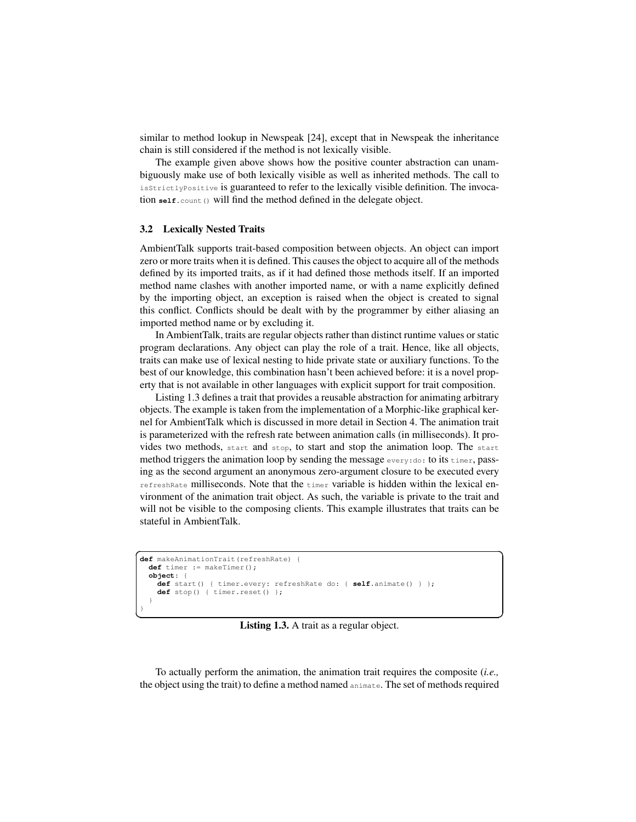similar to method lookup in Newspeak [24], except that in Newspeak the inheritance chain is still considered if the method is not lexically visible.

The example given above shows how the positive counter abstraction can unambiguously make use of both lexically visible as well as inherited methods. The call to isStrictlyPositive is guaranteed to refer to the lexically visible definition. The invocation self.count() will find the method defined in the delegate object.

#### 3.2 Lexically Nested Traits

AmbientTalk supports trait-based composition between objects. An object can import zero or more traits when it is defined. This causes the object to acquire all of the methods defined by its imported traits, as if it had defined those methods itself. If an imported method name clashes with another imported name, or with a name explicitly defined by the importing object, an exception is raised when the object is created to signal this conflict. Conflicts should be dealt with by the programmer by either aliasing an imported method name or by excluding it.

In AmbientTalk, traits are regular objects rather than distinct runtime values or static program declarations. Any object can play the role of a trait. Hence, like all objects, traits can make use of lexical nesting to hide private state or auxiliary functions. To the best of our knowledge, this combination hasn't been achieved before: it is a novel property that is not available in other languages with explicit support for trait composition.

Listing 1.3 defines a trait that provides a reusable abstraction for animating arbitrary objects. The example is taken from the implementation of a Morphic-like graphical kernel for AmbientTalk which is discussed in more detail in Section 4. The animation trait is parameterized with the refresh rate between animation calls (in milliseconds). It provides two methods, start and stop, to start and stop the animation loop. The start method triggers the animation loop by sending the message every:do: to its timer, passing as the second argument an anonymous zero-argument closure to be executed every refreshRate milliseconds. Note that the  $t_{\text{inner}}$  variable is hidden within the lexical environment of the animation trait object. As such, the variable is private to the trait and will not be visible to the composing clients. This example illustrates that traits can be stateful in AmbientTalk.

```
\overline{\phantom{a}}def makeAnimationTrait(refreshRate) {
  def timer := makeTimer();
  object: {
   def start() { timer.every: refreshRate do: { self.animate() } };
   def stop() { timer.reset() };
  }
}
```
✝ ✆ Listing 1.3. A trait as a regular object.

To actually perform the animation, the animation trait requires the composite (*i.e.,* the object using the trait) to define a method named animate. The set of methods required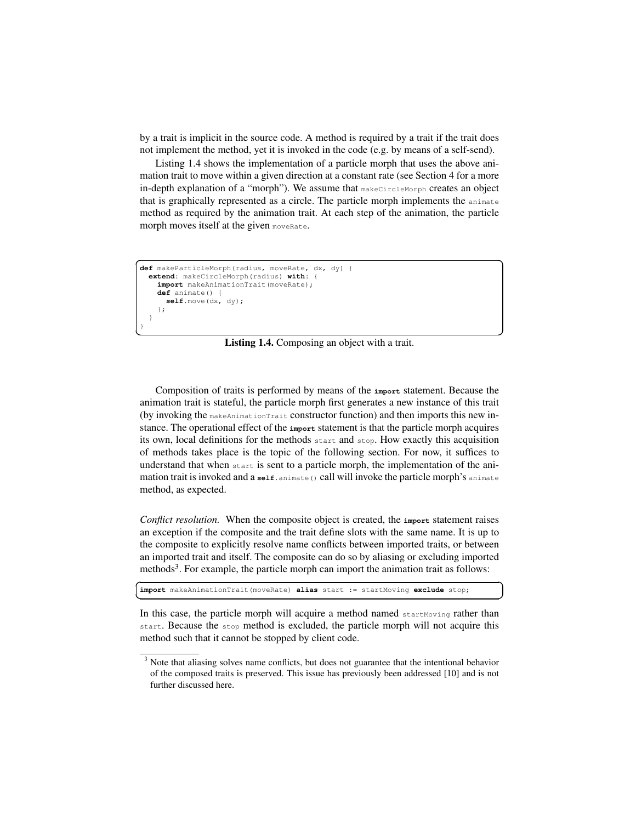by a trait is implicit in the source code. A method is required by a trait if the trait does not implement the method, yet it is invoked in the code (e.g. by means of a self-send).

Listing 1.4 shows the implementation of a particle morph that uses the above animation trait to move within a given direction at a constant rate (see Section 4 for a more in-depth explanation of a "morph"). We assume that makeCircleMorph creates an object that is graphically represented as a circle. The particle morph implements the animate method as required by the animation trait. At each step of the animation, the particle morph moves itself at the given moveRate.

```
def makeParticleMorph(radius, moveRate, dx, dy) {
  extend: makeCircleMorph(radius) with: {
   import makeAnimationTrait(moveRate);
   def animate() {
     self.move(dx, dy);
    };
  }
}
```
✝ ✆ Listing 1.4. Composing an object with a trait.

Composition of traits is performed by means of the **import** statement. Because the animation trait is stateful, the particle morph first generates a new instance of this trait (by invoking the makeAnimationTrait constructor function) and then imports this new instance. The operational effect of the **import** statement is that the particle morph acquires its own, local definitions for the methods start and stop. How exactly this acquisition of methods takes place is the topic of the following section. For now, it suffices to understand that when start is sent to a particle morph, the implementation of the animation trait is invoked and a **self**.animate() call will invoke the particle morph's animate method, as expected.

*Conflict resolution.* When the composite object is created, the **import** statement raises an exception if the composite and the trait define slots with the same name. It is up to the composite to explicitly resolve name conflicts between imported traits, or between an imported trait and itself. The composite can do so by aliasing or excluding imported methods<sup>3</sup>. For example, the particle morph can import the animation trait as follows:

✞ ☎ **import** makeAnimationTrait(moveRate) **alias** start := startMoving **exclude** stop;  $\begin{pmatrix} 1 & 1 & 1 \\ 1 & 1 & 1 \\ 1 & 1 & 1 \end{pmatrix}$ 

In this case, the particle morph will acquire a method named  $\text{startMoving}$  rather than start. Because the stop method is excluded, the particle morph will not acquire this method such that it cannot be stopped by client code.

<sup>&</sup>lt;sup>3</sup> Note that aliasing solves name conflicts, but does not guarantee that the intentional behavior of the composed traits is preserved. This issue has previously been addressed [10] and is not further discussed here.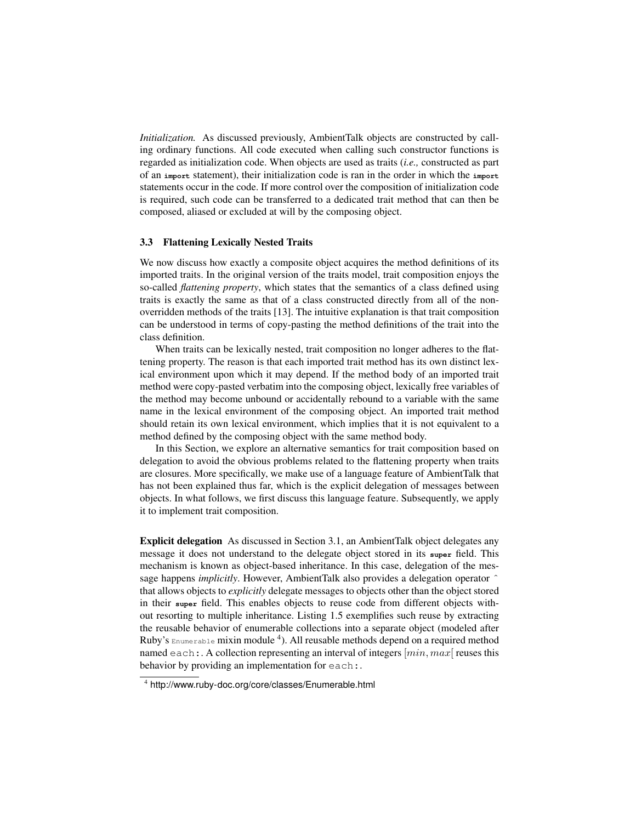*Initialization.* As discussed previously, AmbientTalk objects are constructed by calling ordinary functions. All code executed when calling such constructor functions is regarded as initialization code. When objects are used as traits (*i.e.,* constructed as part of an **import** statement), their initialization code is ran in the order in which the **import** statements occur in the code. If more control over the composition of initialization code is required, such code can be transferred to a dedicated trait method that can then be composed, aliased or excluded at will by the composing object.

#### 3.3 Flattening Lexically Nested Traits

We now discuss how exactly a composite object acquires the method definitions of its imported traits. In the original version of the traits model, trait composition enjoys the so-called *flattening property*, which states that the semantics of a class defined using traits is exactly the same as that of a class constructed directly from all of the nonoverridden methods of the traits [13]. The intuitive explanation is that trait composition can be understood in terms of copy-pasting the method definitions of the trait into the class definition.

When traits can be lexically nested, trait composition no longer adheres to the flattening property. The reason is that each imported trait method has its own distinct lexical environment upon which it may depend. If the method body of an imported trait method were copy-pasted verbatim into the composing object, lexically free variables of the method may become unbound or accidentally rebound to a variable with the same name in the lexical environment of the composing object. An imported trait method should retain its own lexical environment, which implies that it is not equivalent to a method defined by the composing object with the same method body.

In this Section, we explore an alternative semantics for trait composition based on delegation to avoid the obvious problems related to the flattening property when traits are closures. More specifically, we make use of a language feature of AmbientTalk that has not been explained thus far, which is the explicit delegation of messages between objects. In what follows, we first discuss this language feature. Subsequently, we apply it to implement trait composition.

Explicit delegation As discussed in Section 3.1, an AmbientTalk object delegates any message it does not understand to the delegate object stored in its **super** field. This mechanism is known as object-based inheritance. In this case, delegation of the message happens *implicitly*. However, AmbientTalk also provides a delegation operator ˆ that allows objects to *explicitly* delegate messages to objects other than the object stored in their **super** field. This enables objects to reuse code from different objects without resorting to multiple inheritance. Listing 1.5 exemplifies such reuse by extracting the reusable behavior of enumerable collections into a separate object (modeled after Ruby's  $\text{Enumerable mixture}^4$ ). All reusable methods depend on a required method named each:. A collection representing an interval of integers  $(min, max]$  reuses this behavior by providing an implementation for each:

<sup>4</sup> http://www.ruby-doc.org/core/classes/Enumerable.html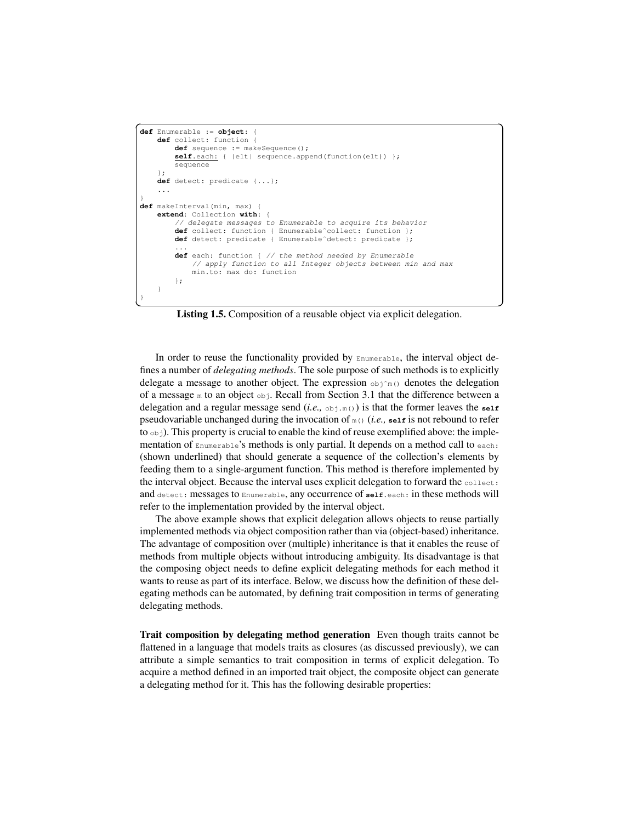```
\sqrt{2}def Enumerable := object: {
    def collect: function {
       def sequence := makeSequence();
       self.each: { |elt| sequence.append(function(elt)) };
       sequence
    };
    def detect: predicate {...};
    ...
}
def makeInterval(min, max) {
    extend: Collection with: {
       // delegate messages to Enumerable to acquire its behavior
       def collect: function { Enumerableˆcollect: function };
       def detect: predicate { Enumerableˆdetect: predicate };
        ...
def each: function { // the method needed by Enumerable
           // apply function to all Integer objects between min and max
           min.to: max do: function
       };
    }
}
```
✝ ✆ Listing 1.5. Composition of a reusable object via explicit delegation.

In order to reuse the functionality provided by Enumerable, the interval object defines a number of *delegating methods*. The sole purpose of such methods is to explicitly delegate a message to another object. The expression  $\delta$  obj $\hat{m}$ () denotes the delegation of a message  $\text{m}$  to an object  $\text{obj}$ . Recall from Section 3.1 that the difference between a delegation and a regular message send  $(i.e., \phi_{\text{bin}(i)})$  is that the former leaves the self pseudovariable unchanged during the invocation of  $m()$  (*i.e.*, self is not rebound to refer to  $\phi$ <sub>b</sub>). This property is crucial to enable the kind of reuse exemplified above: the implementation of Enumerable's methods is only partial. It depends on a method call to each: (shown underlined) that should generate a sequence of the collection's elements by feeding them to a single-argument function. This method is therefore implemented by the interval object. Because the interval uses explicit delegation to forward the  $\text{collect}:$ and detect: messages to Enumerable, any occurrence of **self**.each: in these methods will refer to the implementation provided by the interval object.

The above example shows that explicit delegation allows objects to reuse partially implemented methods via object composition rather than via (object-based) inheritance. The advantage of composition over (multiple) inheritance is that it enables the reuse of methods from multiple objects without introducing ambiguity. Its disadvantage is that the composing object needs to define explicit delegating methods for each method it wants to reuse as part of its interface. Below, we discuss how the definition of these delegating methods can be automated, by defining trait composition in terms of generating delegating methods.

Trait composition by delegating method generation Even though traits cannot be flattened in a language that models traits as closures (as discussed previously), we can attribute a simple semantics to trait composition in terms of explicit delegation. To acquire a method defined in an imported trait object, the composite object can generate a delegating method for it. This has the following desirable properties: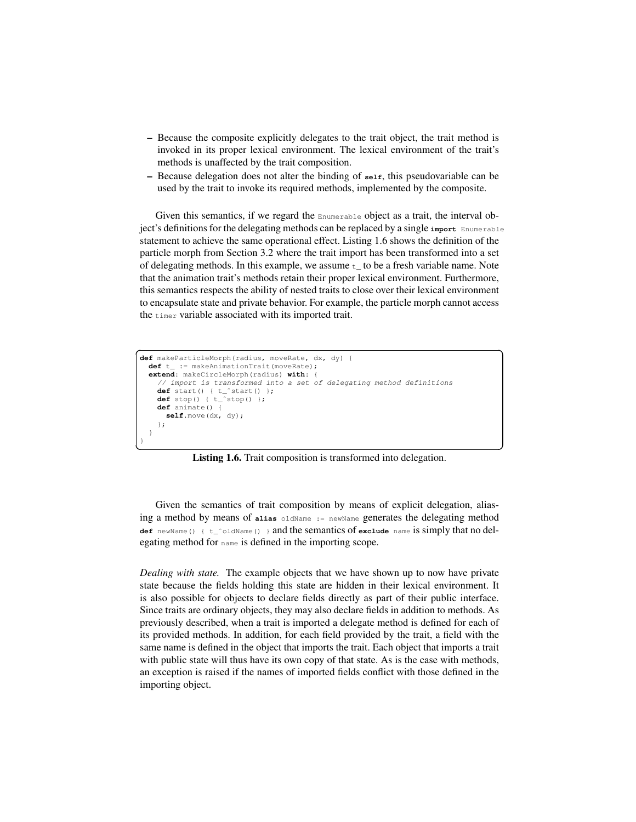- Because the composite explicitly delegates to the trait object, the trait method is invoked in its proper lexical environment. The lexical environment of the trait's methods is unaffected by the trait composition.
- Because delegation does not alter the binding of **self**, this pseudovariable can be used by the trait to invoke its required methods, implemented by the composite.

Given this semantics, if we regard the Enumerable object as a trait, the interval object's definitions for the delegating methods can be replaced by a single **import** Enumerable statement to achieve the same operational effect. Listing 1.6 shows the definition of the particle morph from Section 3.2 where the trait import has been transformed into a set of delegating methods. In this example, we assume  $\epsilon$  to be a fresh variable name. Note that the animation trait's methods retain their proper lexical environment. Furthermore, this semantics respects the ability of nested traits to close over their lexical environment to encapsulate state and private behavior. For example, the particle morph cannot access the timer variable associated with its imported trait.

```
def makeParticleMorph(radius, moveRate, dx, dy) {
  def t_ := makeAnimationTrait(moveRate);
  extend: makeCircleMorph(radius) with: {
     // import is transformed into a set of delegating method definitions
    def start() { t_ˆstart() };
    def stop() { t_ˆstop() };
    def animate() {
      self.move(dx, dy);
    };
  }
}
```
✝ ✆ Listing 1.6. Trait composition is transformed into delegation.

Given the semantics of trait composition by means of explicit delegation, aliasing a method by means of **alias** oldName := newName generates the delegating method **def** newName() { t\_ˆoldName() } and the semantics of **exclude** name is simply that no delegating method for name is defined in the importing scope.

*Dealing with state.* The example objects that we have shown up to now have private state because the fields holding this state are hidden in their lexical environment. It is also possible for objects to declare fields directly as part of their public interface. Since traits are ordinary objects, they may also declare fields in addition to methods. As previously described, when a trait is imported a delegate method is defined for each of its provided methods. In addition, for each field provided by the trait, a field with the same name is defined in the object that imports the trait. Each object that imports a trait with public state will thus have its own copy of that state. As is the case with methods, an exception is raised if the names of imported fields conflict with those defined in the importing object.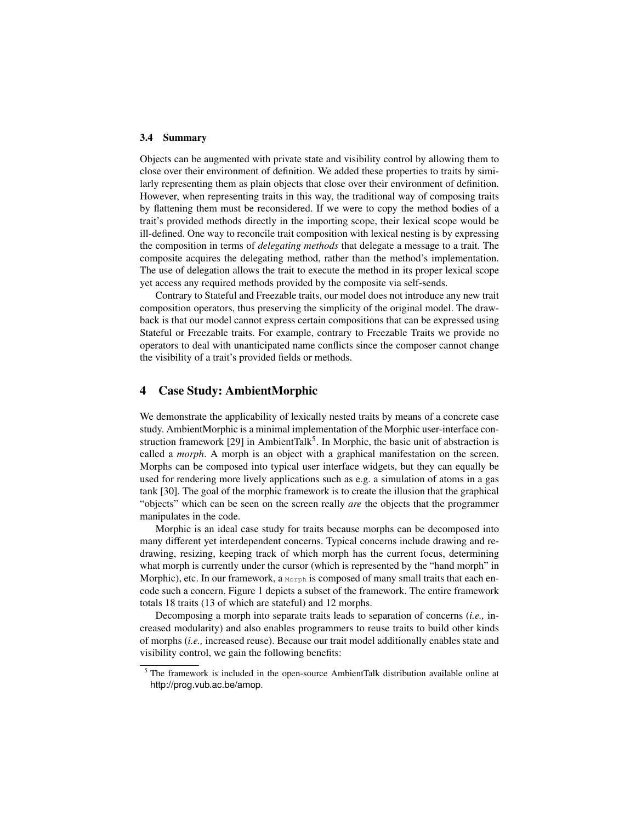#### 3.4 Summary

Objects can be augmented with private state and visibility control by allowing them to close over their environment of definition. We added these properties to traits by similarly representing them as plain objects that close over their environment of definition. However, when representing traits in this way, the traditional way of composing traits by flattening them must be reconsidered. If we were to copy the method bodies of a trait's provided methods directly in the importing scope, their lexical scope would be ill-defined. One way to reconcile trait composition with lexical nesting is by expressing the composition in terms of *delegating methods* that delegate a message to a trait. The composite acquires the delegating method, rather than the method's implementation. The use of delegation allows the trait to execute the method in its proper lexical scope yet access any required methods provided by the composite via self-sends.

Contrary to Stateful and Freezable traits, our model does not introduce any new trait composition operators, thus preserving the simplicity of the original model. The drawback is that our model cannot express certain compositions that can be expressed using Stateful or Freezable traits. For example, contrary to Freezable Traits we provide no operators to deal with unanticipated name conflicts since the composer cannot change the visibility of a trait's provided fields or methods.

## 4 Case Study: AmbientMorphic

We demonstrate the applicability of lexically nested traits by means of a concrete case study. AmbientMorphic is a minimal implementation of the Morphic user-interface construction framework [29] in AmbientTalk<sup>5</sup>. In Morphic, the basic unit of abstraction is called a *morph*. A morph is an object with a graphical manifestation on the screen. Morphs can be composed into typical user interface widgets, but they can equally be used for rendering more lively applications such as e.g. a simulation of atoms in a gas tank [30]. The goal of the morphic framework is to create the illusion that the graphical "objects" which can be seen on the screen really *are* the objects that the programmer manipulates in the code.

Morphic is an ideal case study for traits because morphs can be decomposed into many different yet interdependent concerns. Typical concerns include drawing and redrawing, resizing, keeping track of which morph has the current focus, determining what morph is currently under the cursor (which is represented by the "hand morph" in Morphic), etc. In our framework, a  $M_{\text{Deph}}$  is composed of many small traits that each encode such a concern. Figure 1 depicts a subset of the framework. The entire framework totals 18 traits (13 of which are stateful) and 12 morphs.

Decomposing a morph into separate traits leads to separation of concerns (*i.e.,* increased modularity) and also enables programmers to reuse traits to build other kinds of morphs (*i.e.,* increased reuse). Because our trait model additionally enables state and visibility control, we gain the following benefits:

<sup>5</sup> The framework is included in the open-source AmbientTalk distribution available online at http://prog.vub.ac.be/amop.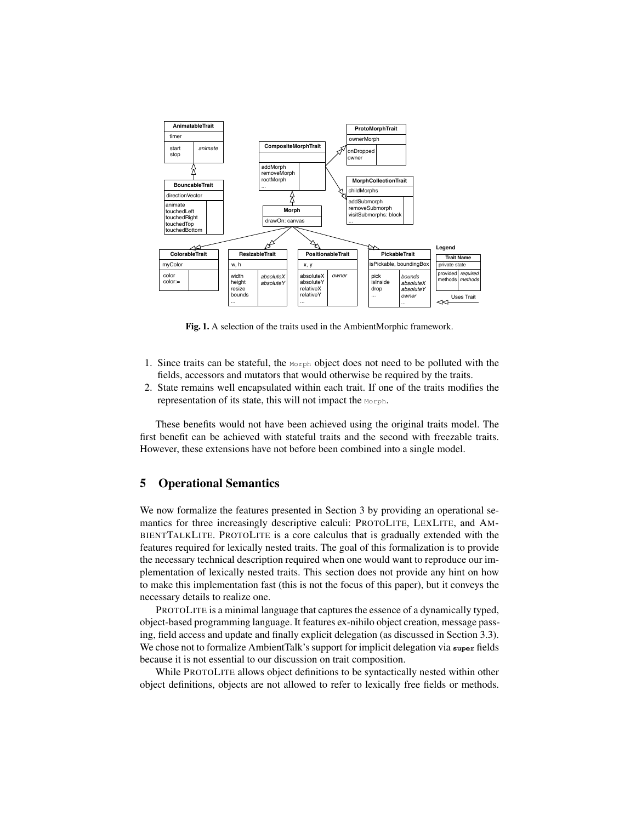

Fig. 1. A selection of the traits used in the AmbientMorphic framework.

- 1. Since traits can be stateful, the Morph object does not need to be polluted with the fields, accessors and mutators that would otherwise be required by the traits.
- 2. State remains well encapsulated within each trait. If one of the traits modifies the representation of its state, this will not impact the Morph.

These benefits would not have been achieved using the original traits model. The first benefit can be achieved with stateful traits and the second with freezable traits. However, these extensions have not before been combined into a single model.

### 5 Operational Semantics

We now formalize the features presented in Section 3 by providing an operational semantics for three increasingly descriptive calculi: PROTOLITE, LEXLITE, and AM-BIENTTALKLITE. PROTOLITE is a core calculus that is gradually extended with the features required for lexically nested traits. The goal of this formalization is to provide the necessary technical description required when one would want to reproduce our implementation of lexically nested traits. This section does not provide any hint on how to make this implementation fast (this is not the focus of this paper), but it conveys the necessary details to realize one.

PROTOLITE is a minimal language that captures the essence of a dynamically typed, object-based programming language. It features ex-nihilo object creation, message passing, field access and update and finally explicit delegation (as discussed in Section 3.3). We chose not to formalize AmbientTalk's support for implicit delegation via **super** fields because it is not essential to our discussion on trait composition.

While PROTOLITE allows object definitions to be syntactically nested within other object definitions, objects are not allowed to refer to lexically free fields or methods.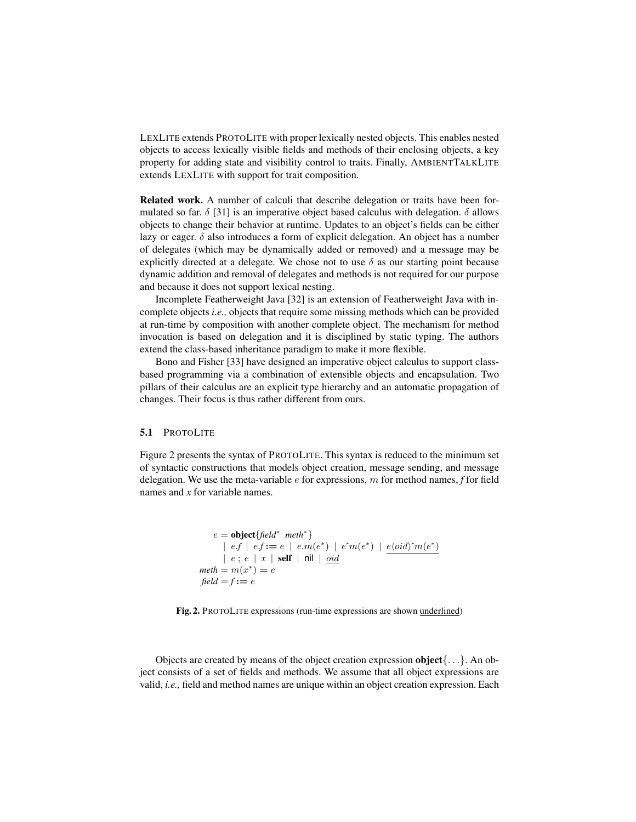LEXLITE extends PROTOLITE with proper lexically nested objects. This enables nested objects to access lexically visible fields and methods of their enclosing objects, a key property for adding state and visibility control to traits. Finally, AMBIENTTALKLITE extends LEXLITE with support for trait composition.

Related work. A number of calculi that describe delegation or traits have been formulated so far.  $\delta$  [31] is an imperative object based calculus with delegation.  $\delta$  allows objects to change their behavior at runtime. Updates to an object's fields can be either lazy or eager.  $\delta$  also introduces a form of explicit delegation. An object has a number of delegates (which may be dynamically added or removed) and a message may be explicitly directed at a delegate. We chose not to use  $\delta$  as our starting point because dynamic addition and removal of delegates and methods is not required for our purpose and because it does not support lexical nesting.

Incomplete Featherweight Java [32] is an extension of Featherweight Java with incomplete objects *i.e.,* objects that require some missing methods which can be provided at run-time by composition with another complete object. The mechanism for method invocation is based on delegation and it is disciplined by static typing. The authors extend the class-based inheritance paradigm to make it more flexible.

Bono and Fisher [33] have designed an imperative object calculus to support classbased programming via a combination of extensible objects and encapsulation. Two pillars of their calculus are an explicit type hierarchy and an automatic propagation of changes. Their focus is thus rather different from ours.

#### 5.1 PROTOLITE

Figure 2 presents the syntax of PROTOLITE. This syntax is reduced to the minimum set of syntactic constructions that models object creation, message sending, and message delegation. We use the meta-variable e for expressions, m for method names, *f* for field names and *x* for variable names.

```
e = object{field∗ meth∗
}
        | \text{ef } | \text{ef } := e | \text{em}(e^*) | e^{\gamma}m(e^*) | e^{\langle \text{oid} \rangle^*m(e^*)}\mid e; e \mid x \midself \mid nil \mid oid
meth = m(x^*) = efield = f := e
```
Fig. 2. PROTOLITE expressions (run-time expressions are shown underlined)

Objects are created by means of the object creation expression **object** $\{\ldots\}$ . An object consists of a set of fields and methods. We assume that all object expressions are valid, *i.e.,* field and method names are unique within an object creation expression. Each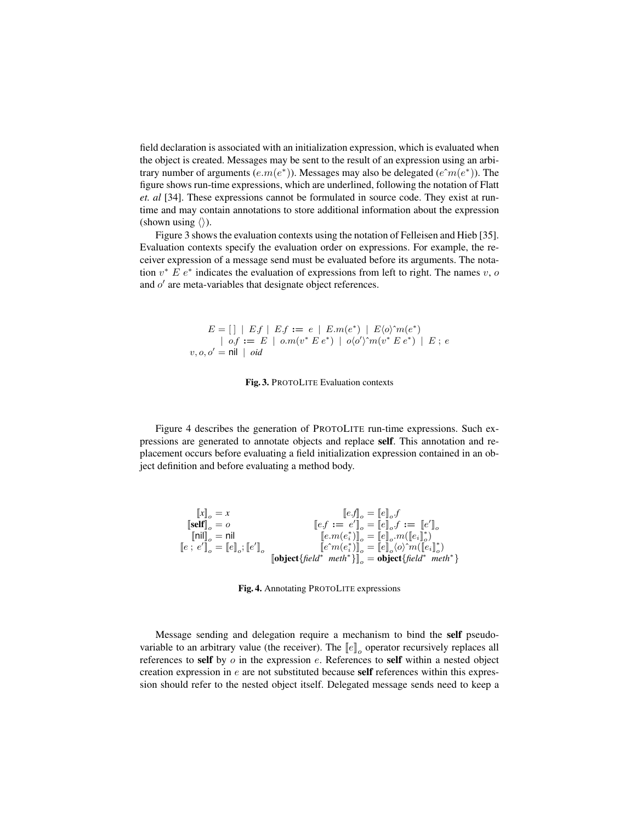field declaration is associated with an initialization expression, which is evaluated when the object is created. Messages may be sent to the result of an expression using an arbitrary number of arguments  $(e.m(e^*))$ . Messages may also be delegated  $(e\hat{m}(e^*))$ . The figure shows run-time expressions, which are underlined, following the notation of Flatt *et. al* [34]. These expressions cannot be formulated in source code. They exist at runtime and may contain annotations to store additional information about the expression (shown using  $\langle \rangle$ ).

Figure 3 shows the evaluation contexts using the notation of Felleisen and Hieb [35]. Evaluation contexts specify the evaluation order on expressions. For example, the receiver expression of a message send must be evaluated before its arguments. The notation  $v^* \stackrel{\text{?}}{E} e^*$  indicates the evaluation of expressions from left to right. The names  $v, o$ and  $o'$  are meta-variables that designate object references.

$$
E = [] | Ef | Ef := e | E.m(e^*) | E\langle o \rangle^m(e^*)
$$
  
\n
$$
| of := E | o.m(v^* E e^*) | o\langle o' \rangle^m(v^* E e^*) | E ; e
$$
  
\n
$$
v, o, o' = \text{nil} | o\text{id}
$$

#### Fig. 3. PROTOLITE Evaluation contexts

Figure 4 describes the generation of PROTOLITE run-time expressions. Such expressions are generated to annotate objects and replace self. This annotation and replacement occurs before evaluating a field initialization expression contained in an object definition and before evaluating a method body.

$$
\begin{array}{llll} &&\text{ }\llbracket x\rrbracket_o=x &\text{ }\llbracket e.f\rrbracket_o=\llbracket e\rrbracket_o.f &\text{ } \llbracket e.f\rrbracket_o=\llbracket e\rrbracket_o.f &\text{ } \llbracket e' \rrbracket_o \llbracket e \rrbracket_o \llbracket e \rrbracket_o \llbracket e \rrbracket_o \llbracket e \rrbracket_o \llbracket e \rrbracket_o \llbracket e \rrbracket_o \llbracket e \rrbracket_o \llbracket e \rrbracket_o \llbracket e \rrbracket_o \llbracket e \rrbracket_o \llbracket e \rrbracket_o \llbracket e \rrbracket_o \llbracket e \rrbracket_o \llbracket e \rrbracket_o \llbracket e \rrbracket_o \llbracket e \rrbracket_o \llbracket e \rrbracket_o \llbracket e \rrbracket_o \llbracket e \rrbracket_o \llbracket e \rrbracket_o \llbracket e \rrbracket_o \llbracket e \rrbracket_o \llbracket e \rrbracket_o \llbracket e \rrbracket_o \llbracket e \rrbracket_o \llbracket e \rrbracket_o \llbracket e \rrbracket_o \llbracket e \rrbracket_o \llbracket e \rrbracket_o \llbracket e \rrbracket_o \llbracket e \rrbracket_o \llbracket e \rrbracket_o \llbracket e \rrbracket_o \llbracket e \rrbracket_o \llbracket e \rrbracket_o \llbracket e \rrbracket_o \llbracket e \rrbracket_o \llbracket e \rrbracket_o \llbracket e \rrbracket_o \llbracket e \rrbracket_o \llbracket e \rrbracket_o \llbracket e \rrbracket_o \llbracket e \rrbracket_o \llbracket e \rrbracket_o \llbracket e \rrbracket_o \llbracket e \rrbracket_o \llbracket e \rrbracket_o \llbracket e \rrbracket_o \llbracket e \rrbracket_o \llbracket e \rrbracket_o \llbracket e \rrbracket_o \llbracket e \rrbracket_o \llbracket e \rrbracket_o \llbracket e \rrbracket_o \llbracket e \rrbracket_o \llbracket e \rrbracket_o \llbracket e \rrbracket_o \llbracket e \rrbracket_o \llbracket e \rrbracket_o \llbracket e \rrbracket_o \llbracket e \rrbracket_o \llbracket e \rrbracket_o \llbracket e \rrbracket_o \llbracket e \rrbracket_o \llbracket e \rrbracket_o \llbracket e \rrbracket_o \llbracket e \rrbr
$$

Fig. 4. Annotating PROTOLITE expressions

Message sending and delegation require a mechanism to bind the self pseudovariable to an arbitrary value (the receiver). The  $[\![e]\!]_o$  operator recursively replaces all references to self by  $\sigma$  in the expression  $e$ . References to self within a nested object creation expression in e are not substituted because self references within this expression should refer to the nested object itself. Delegated message sends need to keep a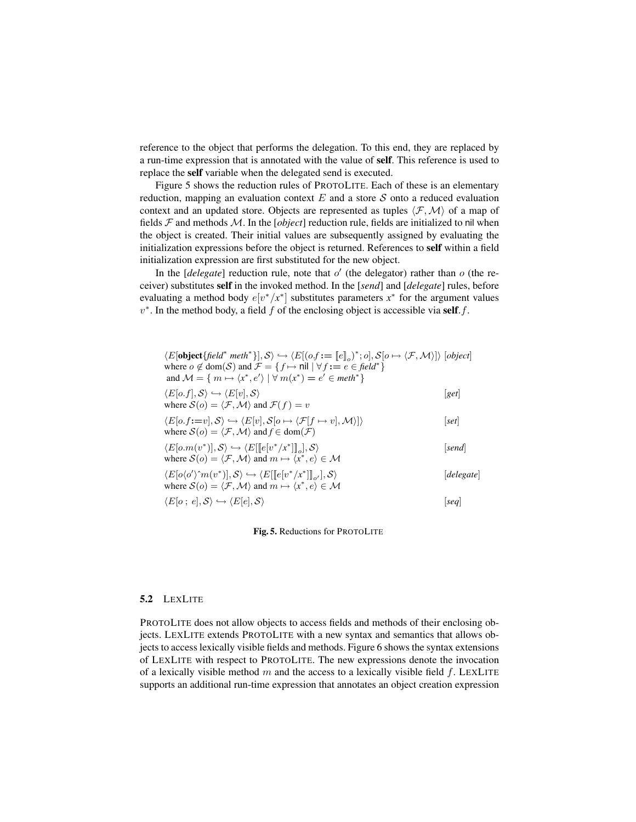reference to the object that performs the delegation. To this end, they are replaced by a run-time expression that is annotated with the value of self. This reference is used to replace the self variable when the delegated send is executed.

Figure 5 shows the reduction rules of PROTOLITE. Each of these is an elementary reduction, mapping an evaluation context  $E$  and a store  $S$  onto a reduced evaluation context and an updated store. Objects are represented as tuples  $\langle F, M \rangle$  of a map of fields  $F$  and methods  $M$ . In the [*object*] reduction rule, fields are initialized to nil when the object is created. Their initial values are subsequently assigned by evaluating the initialization expressions before the object is returned. References to self within a field initialization expression are first substituted for the new object.

In the  $[delegate]$  reduction rule, note that  $o'$  (the delegator) rather than  $o$  (the receiver) substitutes self in the invoked method. In the [*send*] and [*delegate*] rules, before evaluating a method body  $e[v^*/x^*]$  substitutes parameters  $x^*$  for the argument values  $v^*$ . In the method body, a field f of the enclosing object is accessible via self. f.

| $\langle E[\text{object}\{\text{field}^*\text{meth}^*\}], S \rangle \hookrightarrow \langle E[(of := \llbracket e \rrbracket_\circ)^*; o], S[o \mapsto \langle F, \mathcal{M} \rangle] \rangle$ [object]<br>where $o \notin \text{dom}(\mathcal{S})$ and $\mathcal{F} = \{f \mapsto \text{nil} \mid \forall f := e \in \text{field}^*\}$<br>and $\mathcal{M} = \{ m \mapsto \langle x^*, e' \rangle \mid \forall m(x^*) = e' \in \text{meth}^* \}$ |          |
|----------------------------------------------------------------------------------------------------------------------------------------------------------------------------------------------------------------------------------------------------------------------------------------------------------------------------------------------------------------------------------------------------------------------------------------------------|----------|
| $\langle E o.f , S \rangle \hookrightarrow \langle E v , S \rangle$<br>where $S(o) = \langle F, M \rangle$ and $F(f) = v$                                                                                                                                                                                                                                                                                                                          | get      |
| $\langle E[\text{o}.f:=\text{v}],\mathcal{S}\rangle \hookrightarrow \langle E[\text{v}],\mathcal{S}[\text{o}\mapsto \langle \mathcal{F}[f\mapsto \text{v}],\mathcal{M}\rangle]\rangle$<br>where $\mathcal{S}(o) = \langle \mathcal{F}, \mathcal{M} \rangle$ and $f \in \text{dom}(\mathcal{F})$                                                                                                                                                    | set      |
| $\langle E[\mathfrak{o}.m(\mathfrak{v}^*)], \mathcal{S} \rangle \hookrightarrow \langle E[\mathfrak{e}[\mathfrak{v}^*/\mathfrak{x}^*]]_a], \mathcal{S} \rangle$<br>where $S(o) = \langle F, M \rangle$ and $m \mapsto \langle x^*, e \rangle \in M$                                                                                                                                                                                                | send     |
| $\langle E[\rho(\rho')\hat{m}(v^*)], \mathcal{S} \rangle \hookrightarrow \langle E[\mathbb{E}[v^*/x^*]]_-, \mathcal{S} \rangle$<br>where $S(o) = \langle F, M \rangle$ and $m \mapsto \langle x^*, e \rangle \in M$                                                                                                                                                                                                                                | delegate |
| $\langle E[\sigma : e], \mathcal{S} \rangle \hookrightarrow \langle E[e], \mathcal{S} \rangle$                                                                                                                                                                                                                                                                                                                                                     | seq      |

Fig. 5. Reductions for PROTOLITE

#### 5.2 LEXLITE

PROTOLITE does not allow objects to access fields and methods of their enclosing objects. LEXLITE extends PROTOLITE with a new syntax and semantics that allows objects to access lexically visible fields and methods. Figure 6 shows the syntax extensions of LEXLITE with respect to PROTOLITE. The new expressions denote the invocation of a lexically visible method  $m$  and the access to a lexically visible field  $f$ . LEXLITE supports an additional run-time expression that annotates an object creation expression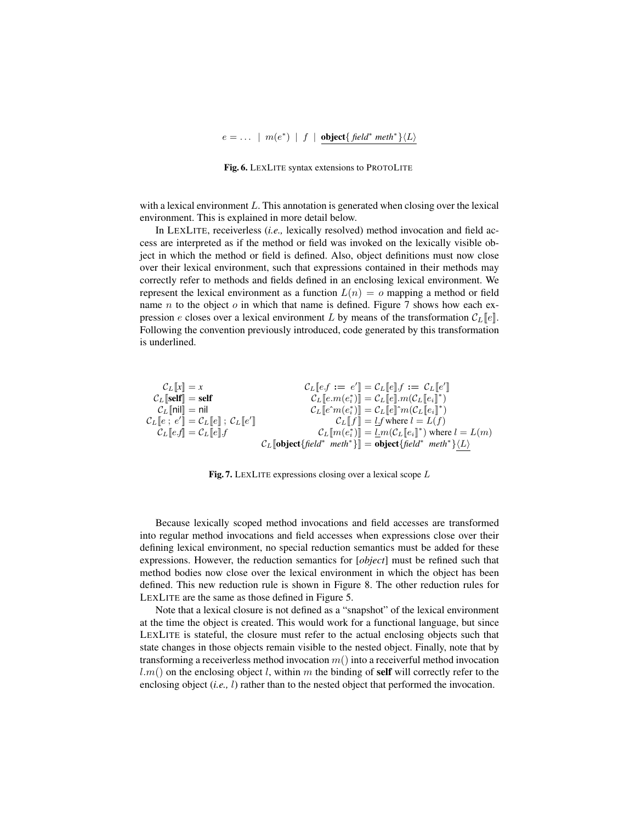Fig. 6. LEXLITE syntax extensions to PROTOLITE

with a lexical environment  $L$ . This annotation is generated when closing over the lexical environment. This is explained in more detail below.

In LEXLITE, receiverless (*i.e.,* lexically resolved) method invocation and field access are interpreted as if the method or field was invoked on the lexically visible object in which the method or field is defined. Also, object definitions must now close over their lexical environment, such that expressions contained in their methods may correctly refer to methods and fields defined in an enclosing lexical environment. We represent the lexical environment as a function  $L(n) = o$  mapping a method or field name *n* to the object  $o$  in which that name is defined. Figure 7 shows how each expression e closes over a lexical environment L by means of the transformation  $C_L[\![e]\!]$ . Following the convention previously introduced, code generated by this transformation is underlined.

CL[[*x*]] = *x* CL[[self]] = self CL[[nil]] = nil CL[[e ; e ′ ]] = CL[[e]] ; CL[[e ′ ]] CL[[e.*f*]] = CL[[e]].*f* CL[[e.*f* := e ′ ]] = CL[[e]].*f* := CL[[e ′ ]] CL[[e.m(e ∗ <sup>i</sup> )]] = CL[[e]].m(CL[[ei]]<sup>∗</sup> ) CL[[eˆm(e ∗ <sup>i</sup> )]] = CL[[e]]ˆm(CL[[ei]]<sup>∗</sup> ) CL[[ *f* ]] = l.*f* where l = L(f) CL[[m(e ∗ <sup>i</sup> )]] = l.m(CL[[ei]]<sup>∗</sup> ) where l = L(m) CL[[object{*field*<sup>∗</sup> *meth*<sup>∗</sup> }]] = object{*field*<sup>∗</sup> *meth*<sup>∗</sup> }hLi

Fig. 7. LEXLITE expressions closing over a lexical scope  $L$ 

Because lexically scoped method invocations and field accesses are transformed into regular method invocations and field accesses when expressions close over their defining lexical environment, no special reduction semantics must be added for these expressions. However, the reduction semantics for [*object*] must be refined such that method bodies now close over the lexical environment in which the object has been defined. This new reduction rule is shown in Figure 8. The other reduction rules for LEXLITE are the same as those defined in Figure 5.

Note that a lexical closure is not defined as a "snapshot" of the lexical environment at the time the object is created. This would work for a functional language, but since LEXLITE is stateful, the closure must refer to the actual enclosing objects such that state changes in those objects remain visible to the nested object. Finally, note that by transforming a receiverless method invocation  $m()$  into a receiverful method invocation  $l.m()$  on the enclosing object l, within m the binding of self will correctly refer to the enclosing object (*i.e.*, *l*) rather than to the nested object that performed the invocation.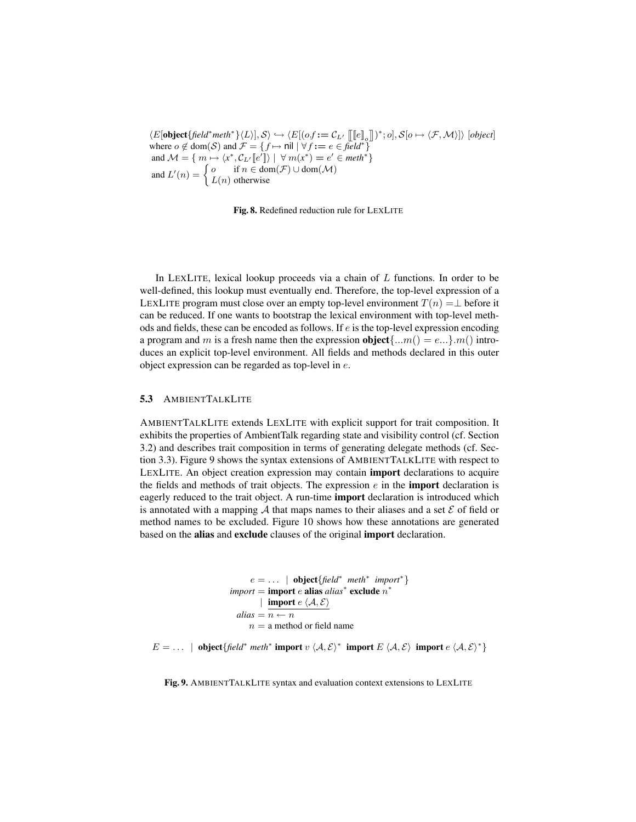$\langle E[\text{object}\{\text{field}^*\text{meth}^*\}\langle L\rangle], \mathcal{S}\rangle \hookrightarrow \langle E[(of := \mathcal{C}_{L'}\left[\left[\left[\left[e\right]_o\right]\right])^*; o], \mathcal{S}[o \mapsto \langle \mathcal{F}, \mathcal{M}\rangle]\rangle \right]$  [object] where  $o \notin \text{dom}(\mathcal{S})$  and  $\mathcal{F} = \{f \mapsto \text{nil} \mid \forall f := e \in \text{field}^*\}$ and  $\mathcal{M} = \{ m \mapsto \langle x^*, C_{L'} \llbracket e' \rrbracket \rangle \mid \forall m(x^*) = e' \in \text{meth}^* \}$ and  $L'(n) = \begin{cases} o & \text{if } n \in \text{dom}(\mathcal{F}) \cup \text{dom}(\mathcal{M}) \\ L(n) & \text{otherwise} \end{cases}$  $L(n)$  otherwise

Fig. 8. Redefined reduction rule for LEXLITE

In LEXLITE, lexical lookup proceeds via a chain of  $L$  functions. In order to be well-defined, this lookup must eventually end. Therefore, the top-level expression of a LEXLITE program must close over an empty top-level environment  $T(n) = \perp$  before it can be reduced. If one wants to bootstrap the lexical environment with top-level methods and fields, these can be encoded as follows. If e is the top-level expression encoding a program and m is a fresh name then the expression **object** $\{...m() = e...\}m()$  introduces an explicit top-level environment. All fields and methods declared in this outer object expression can be regarded as top-level in e.

#### 5.3 AMBIENTTALKLITE

AMBIENTTALKLITE extends LEXLITE with explicit support for trait composition. It exhibits the properties of AmbientTalk regarding state and visibility control (cf. Section 3.2) and describes trait composition in terms of generating delegate methods (cf. Section 3.3). Figure 9 shows the syntax extensions of AMBIENTTALKLITE with respect to LEXLITE. An object creation expression may contain import declarations to acquire the fields and methods of trait objects. The expression  $e$  in the **import** declaration is eagerly reduced to the trait object. A run-time **import** declaration is introduced which is annotated with a mapping A that maps names to their aliases and a set  $\mathcal E$  of field or method names to be excluded. Figure 10 shows how these annotations are generated based on the alias and exclude clauses of the original import declaration.

$$
e = \dots \mid \text{object}\{\text{field}^* \text{meth}^* \text{ import*}\}
$$
\n
$$
import = \text{import } e \text{ alias } alias^* \text{ exclude } n^*
$$
\n
$$
\mid \text{import } e \langle A, E \rangle
$$
\n
$$
alias = n \leftarrow n
$$
\n
$$
n = \text{a method or field name}
$$

*E* = ... | object{*field<sup>\*</sup>* meth<sup>\*</sup> import v  $\langle A, E \rangle^*$  import *E*  $\langle A, E \rangle$  import *e*  $\langle A, E \rangle^*$ }

Fig. 9. AMBIENTTALKLITE syntax and evaluation context extensions to LEXLITE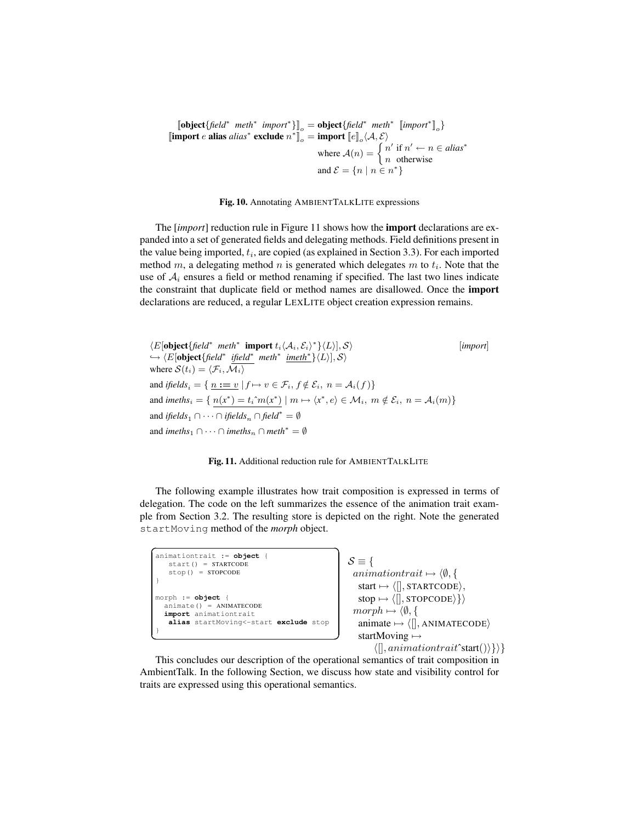$\llbracket \textbf{object}\{\textit{field}^* \text{ ment}^* \text{ import}^*\rrbracket_o = \textbf{object}\{\textit{field}^* \text{ ment}^* \text{ } \llbracket \textit{import}^*\rrbracket_o\}$ [import *e* alias *alias*<sup>\*</sup> exclude  $n^*$ ]  $^{\circ}_{\circ}$  = import [ $e$ ]  $^{\circ}_{\circ}$   $\langle A, E \rangle$ where  $\mathcal{A}(n) = \begin{cases} n' & \text{if } n' \leftarrow n \in \text{alias}^* \\ n & \text{otherwise} \end{cases}$ n otherwise and  $\mathcal{E} = \{n \mid n \in n^*\}$ 

Fig. 10. Annotating AMBIENTTALKLITE expressions

The [*import*] reduction rule in Figure 11 shows how the import declarations are expanded into a set of generated fields and delegating methods. Field definitions present in the value being imported,  $t_i$ , are copied (as explained in Section 3.3). For each imported method m, a delegating method n is generated which delegates  $m$  to  $t_i$ . Note that the use of  $A_i$  ensures a field or method renaming if specified. The last two lines indicate the constraint that duplicate field or method names are disallowed. Once the import declarations are reduced, a regular LEXLITE object creation expression remains.

```
\langle E[\textbf{object}\{\textit{field}^* \text{ ment}^* \text{ import } t_i \langle A_i, \mathcal{E}_i \rangle^* \} \langle L \rangle], \mathcal{S} \rangle [import]
\hookrightarrow \langle E[\text{object}\{\text{field}^*\ \text{field}^*\ \text{meth}^*\ \text{imeth}^*\}\langle L\rangle], \mathcal{S}\ranglewhere S(t_i) = \langle \mathcal{F}_i, \overline{\mathcal{M}_i} \rangleand ifields<sub>i</sub> = { n := v | f \mapsto v \in \mathcal{F}_i, f \notin \mathcal{E}_i, n = \mathcal{A}_i(f)}
and imeths<sub>i</sub> = { n(x^*) = t_i^m(x^*) \mid m \mapsto \langle x^*, e \rangle \in \mathcal{M}_i, m \notin \mathcal{E}_i, n = \mathcal{A}_i(m)}
and ifields<sub>1</sub> \cap \cdots \cap ifields<sub>n</sub> \cap field<sup>*</sup> = Ø
and imeths<sub>1</sub> \cap \cdots \cap imeths<sub>n</sub> \cap meth<sup>*</sup> = Ø
```
Fig. 11. Additional reduction rule for AMBIENTTALKLITE

The following example illustrates how trait composition is expressed in terms of delegation. The code on the left summarizes the essence of the animation trait example from Section 3.2. The resulting store is depicted on the right. Note the generated startMoving method of the *morph* object.

| animationtrait := $object$ {<br>$start() = STARTCODE$     | $S \equiv \{$                                                                                                                                                                                                                                                                                 |
|-----------------------------------------------------------|-----------------------------------------------------------------------------------------------------------------------------------------------------------------------------------------------------------------------------------------------------------------------------------------------|
| $stop() = STOPCODE$                                       | animationtrait $\mapsto \langle \emptyset, \{$                                                                                                                                                                                                                                                |
|                                                           | start $\mapsto \langle   \cdot  $ , STARTCODE $\rangle$ ,                                                                                                                                                                                                                                     |
| morph $:=$ object {                                       | $stop \mapsto \langle  , sToPCODE \rangle \rangle$                                                                                                                                                                                                                                            |
| $animate() = ANIMATECODE$<br><i>import</i> animationtrait | $morph \mapsto \langle \emptyset, \{$                                                                                                                                                                                                                                                         |
| alias startMoving<-start exclude stop                     | animate $\mapsto \langle$ , ANIMATECODE)                                                                                                                                                                                                                                                      |
|                                                           | startMoving $\mapsto$                                                                                                                                                                                                                                                                         |
|                                                           | $\sqrt{1}$ , $\sqrt{1}$ , $\sqrt{1}$ , $\sqrt{1}$ , $\sqrt{1}$ , $\sqrt{1}$ , $\sqrt{1}$ , $\sqrt{1}$ , $\sqrt{1}$ , $\sqrt{1}$ , $\sqrt{1}$ , $\sqrt{1}$ , $\sqrt{1}$ , $\sqrt{1}$ , $\sqrt{1}$ , $\sqrt{1}$ , $\sqrt{1}$ , $\sqrt{1}$ , $\sqrt{1}$ , $\sqrt{1}$ , $\sqrt{1}$ , $\sqrt{1}$ , |

 $\langle [\cdot], animation trait^*\text{start}(\cdot)\rangle\rangle$ 

This concludes our description of the operational semantics of trait composition in AmbientTalk. In the following Section, we discuss how state and visibility control for traits are expressed using this operational semantics.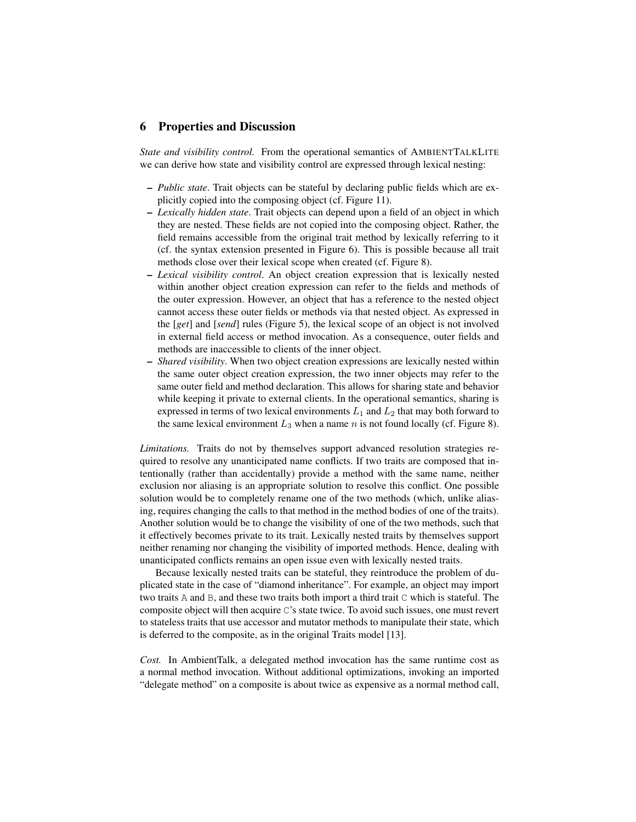### 6 Properties and Discussion

*State and visibility control.* From the operational semantics of AMBIENTTALKLITE we can derive how state and visibility control are expressed through lexical nesting:

- *Public state*. Trait objects can be stateful by declaring public fields which are explicitly copied into the composing object (cf. Figure 11).
- *Lexically hidden state*. Trait objects can depend upon a field of an object in which they are nested. These fields are not copied into the composing object. Rather, the field remains accessible from the original trait method by lexically referring to it (cf. the syntax extension presented in Figure 6). This is possible because all trait methods close over their lexical scope when created (cf. Figure 8).
- *Lexical visibility control*. An object creation expression that is lexically nested within another object creation expression can refer to the fields and methods of the outer expression. However, an object that has a reference to the nested object cannot access these outer fields or methods via that nested object. As expressed in the [*get*] and [*send*] rules (Figure 5), the lexical scope of an object is not involved in external field access or method invocation. As a consequence, outer fields and methods are inaccessible to clients of the inner object.
- *Shared visibility*. When two object creation expressions are lexically nested within the same outer object creation expression, the two inner objects may refer to the same outer field and method declaration. This allows for sharing state and behavior while keeping it private to external clients. In the operational semantics, sharing is expressed in terms of two lexical environments  $L_1$  and  $L_2$  that may both forward to the same lexical environment  $L_3$  when a name n is not found locally (cf. Figure 8).

*Limitations.* Traits do not by themselves support advanced resolution strategies required to resolve any unanticipated name conflicts. If two traits are composed that intentionally (rather than accidentally) provide a method with the same name, neither exclusion nor aliasing is an appropriate solution to resolve this conflict. One possible solution would be to completely rename one of the two methods (which, unlike aliasing, requires changing the calls to that method in the method bodies of one of the traits). Another solution would be to change the visibility of one of the two methods, such that it effectively becomes private to its trait. Lexically nested traits by themselves support neither renaming nor changing the visibility of imported methods. Hence, dealing with unanticipated conflicts remains an open issue even with lexically nested traits.

Because lexically nested traits can be stateful, they reintroduce the problem of duplicated state in the case of "diamond inheritance". For example, an object may import two traits A and B, and these two traits both import a third trait C which is stateful. The composite object will then acquire  $\mathbb{C}$ 's state twice. To avoid such issues, one must revert to stateless traits that use accessor and mutator methods to manipulate their state, which is deferred to the composite, as in the original Traits model [13].

*Cost.* In AmbientTalk, a delegated method invocation has the same runtime cost as a normal method invocation. Without additional optimizations, invoking an imported "delegate method" on a composite is about twice as expensive as a normal method call,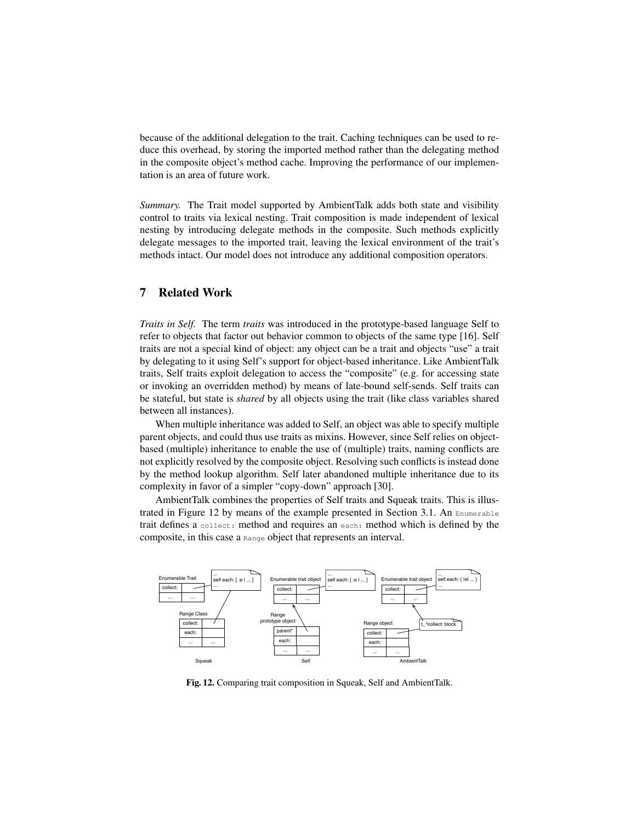because of the additional delegation to the trait. Caching techniques can be used to reduce this overhead, by storing the imported method rather than the delegating method in the composite object's method cache. Improving the performance of our implementation is an area of future work.

*Summary.* The Trait model supported by AmbientTalk adds both state and visibility control to traits via lexical nesting. Trait composition is made independent of lexical nesting by introducing delegate methods in the composite. Such methods explicitly delegate messages to the imported trait, leaving the lexical environment of the trait's methods intact. Our model does not introduce any additional composition operators.

# 7 Related Work

*Traits in Self.* The term *traits* was introduced in the prototype-based language Self to refer to objects that factor out behavior common to objects of the same type [16]. Self traits are not a special kind of object: any object can be a trait and objects "use" a trait by delegating to it using Self's support for object-based inheritance. Like AmbientTalk traits, Self traits exploit delegation to access the "composite" (e.g. for accessing state or invoking an overridden method) by means of late-bound self-sends. Self traits can be stateful, but state is *shared* by all objects using the trait (like class variables shared between all instances).

When multiple inheritance was added to Self, an object was able to specify multiple parent objects, and could thus use traits as mixins. However, since Self relies on objectbased (multiple) inheritance to enable the use of (multiple) traits, naming conflicts are not explicitly resolved by the composite object. Resolving such conflicts is instead done by the method lookup algorithm. Self later abandoned multiple inheritance due to its complexity in favor of a simpler "copy-down" approach [30].

AmbientTalk combines the properties of Self traits and Squeak traits. This is illustrated in Figure 12 by means of the example presented in Section 3.1. An Enumerable trait defines a  $_{\text{collect}}$ : method and requires an  $_{\text{each}}$ : method which is defined by the composite, in this case a Range object that represents an interval.



Fig. 12. Comparing trait composition in Squeak, Self and AmbientTalk.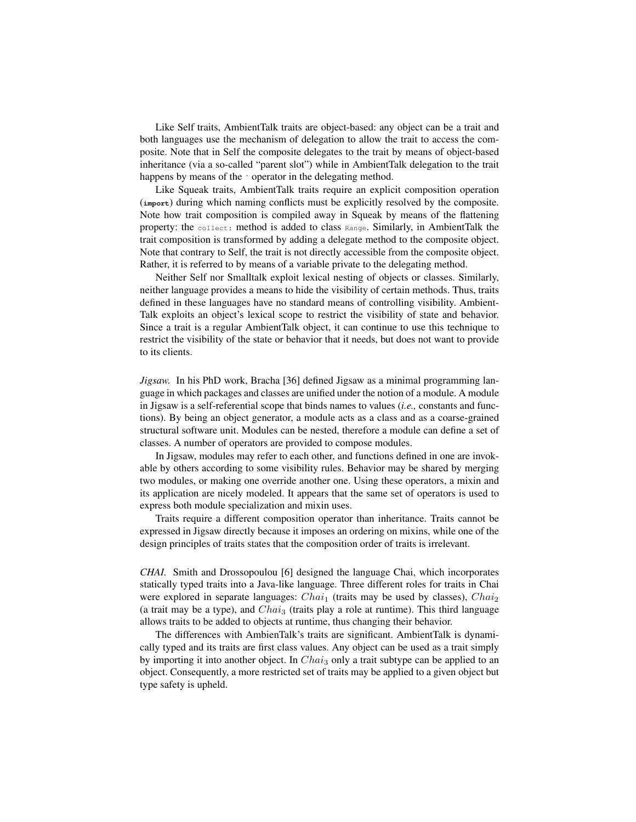Like Self traits, AmbientTalk traits are object-based: any object can be a trait and both languages use the mechanism of delegation to allow the trait to access the composite. Note that in Self the composite delegates to the trait by means of object-based inheritance (via a so-called "parent slot") while in AmbientTalk delegation to the trait happens by means of the ↑ operator in the delegating method.

Like Squeak traits, AmbientTalk traits require an explicit composition operation (**import**) during which naming conflicts must be explicitly resolved by the composite. Note how trait composition is compiled away in Squeak by means of the flattening property: the collect: method is added to class Range. Similarly, in AmbientTalk the trait composition is transformed by adding a delegate method to the composite object. Note that contrary to Self, the trait is not directly accessible from the composite object. Rather, it is referred to by means of a variable private to the delegating method.

Neither Self nor Smalltalk exploit lexical nesting of objects or classes. Similarly, neither language provides a means to hide the visibility of certain methods. Thus, traits defined in these languages have no standard means of controlling visibility. Ambient-Talk exploits an object's lexical scope to restrict the visibility of state and behavior. Since a trait is a regular AmbientTalk object, it can continue to use this technique to restrict the visibility of the state or behavior that it needs, but does not want to provide to its clients.

*Jigsaw.* In his PhD work, Bracha [36] defined Jigsaw as a minimal programming language in which packages and classes are unified under the notion of a module. A module in Jigsaw is a self-referential scope that binds names to values (*i.e.,* constants and functions). By being an object generator, a module acts as a class and as a coarse-grained structural software unit. Modules can be nested, therefore a module can define a set of classes. A number of operators are provided to compose modules.

In Jigsaw, modules may refer to each other, and functions defined in one are invokable by others according to some visibility rules. Behavior may be shared by merging two modules, or making one override another one. Using these operators, a mixin and its application are nicely modeled. It appears that the same set of operators is used to express both module specialization and mixin uses.

Traits require a different composition operator than inheritance. Traits cannot be expressed in Jigsaw directly because it imposes an ordering on mixins, while one of the design principles of traits states that the composition order of traits is irrelevant.

*CHAI.* Smith and Drossopoulou [6] designed the language Chai, which incorporates statically typed traits into a Java-like language. Three different roles for traits in Chai were explored in separate languages:  $Chai<sub>1</sub>$  (traits may be used by classes),  $Chai<sub>2</sub>$ (a trait may be a type), and  $Chai<sub>3</sub>$  (traits play a role at runtime). This third language allows traits to be added to objects at runtime, thus changing their behavior.

The differences with AmbienTalk's traits are significant. AmbientTalk is dynamically typed and its traits are first class values. Any object can be used as a trait simply by importing it into another object. In  $Chai<sub>3</sub>$  only a trait subtype can be applied to an object. Consequently, a more restricted set of traits may be applied to a given object but type safety is upheld.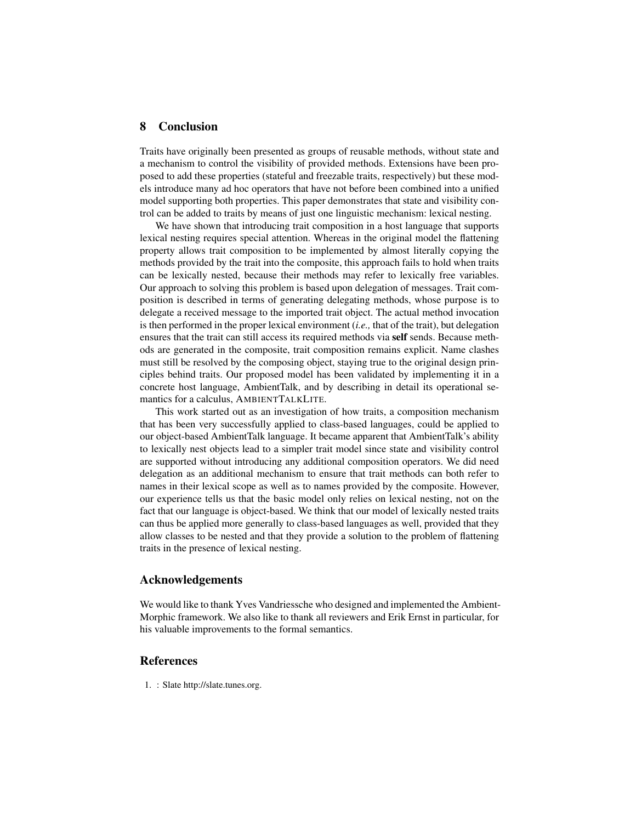# 8 Conclusion

Traits have originally been presented as groups of reusable methods, without state and a mechanism to control the visibility of provided methods. Extensions have been proposed to add these properties (stateful and freezable traits, respectively) but these models introduce many ad hoc operators that have not before been combined into a unified model supporting both properties. This paper demonstrates that state and visibility control can be added to traits by means of just one linguistic mechanism: lexical nesting.

We have shown that introducing trait composition in a host language that supports lexical nesting requires special attention. Whereas in the original model the flattening property allows trait composition to be implemented by almost literally copying the methods provided by the trait into the composite, this approach fails to hold when traits can be lexically nested, because their methods may refer to lexically free variables. Our approach to solving this problem is based upon delegation of messages. Trait composition is described in terms of generating delegating methods, whose purpose is to delegate a received message to the imported trait object. The actual method invocation is then performed in the proper lexical environment (*i.e.,* that of the trait), but delegation ensures that the trait can still access its required methods via self sends. Because methods are generated in the composite, trait composition remains explicit. Name clashes must still be resolved by the composing object, staying true to the original design principles behind traits. Our proposed model has been validated by implementing it in a concrete host language, AmbientTalk, and by describing in detail its operational semantics for a calculus, AMBIENTTALKLITE.

This work started out as an investigation of how traits, a composition mechanism that has been very successfully applied to class-based languages, could be applied to our object-based AmbientTalk language. It became apparent that AmbientTalk's ability to lexically nest objects lead to a simpler trait model since state and visibility control are supported without introducing any additional composition operators. We did need delegation as an additional mechanism to ensure that trait methods can both refer to names in their lexical scope as well as to names provided by the composite. However, our experience tells us that the basic model only relies on lexical nesting, not on the fact that our language is object-based. We think that our model of lexically nested traits can thus be applied more generally to class-based languages as well, provided that they allow classes to be nested and that they provide a solution to the problem of flattening traits in the presence of lexical nesting.

### Acknowledgements

We would like to thank Yves Vandriessche who designed and implemented the Ambient-Morphic framework. We also like to thank all reviewers and Erik Ernst in particular, for his valuable improvements to the formal semantics.

# References

1. : Slate http://slate.tunes.org.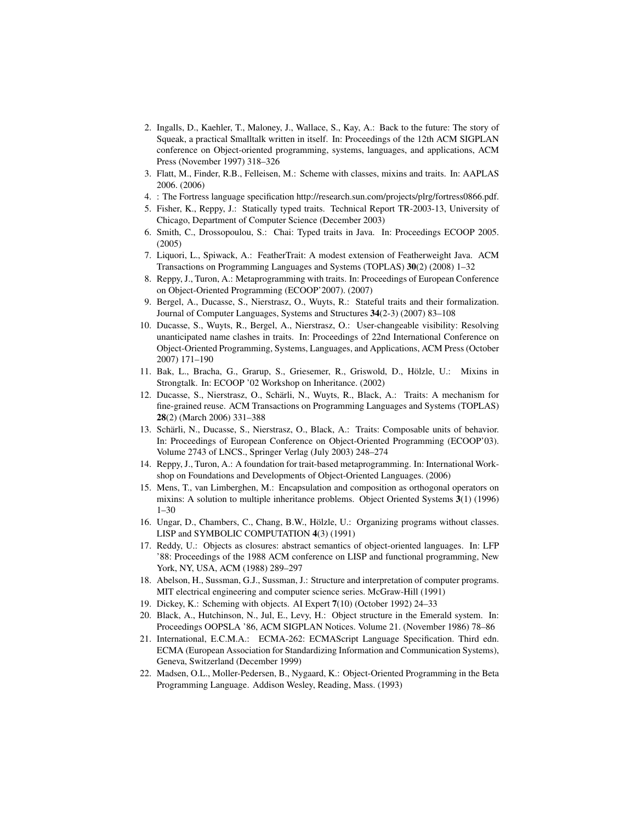- 2. Ingalls, D., Kaehler, T., Maloney, J., Wallace, S., Kay, A.: Back to the future: The story of Squeak, a practical Smalltalk written in itself. In: Proceedings of the 12th ACM SIGPLAN conference on Object-oriented programming, systems, languages, and applications, ACM Press (November 1997) 318–326
- 3. Flatt, M., Finder, R.B., Felleisen, M.: Scheme with classes, mixins and traits. In: AAPLAS 2006. (2006)
- 4. : The Fortress language specification http://research.sun.com/projects/plrg/fortress0866.pdf.
- 5. Fisher, K., Reppy, J.: Statically typed traits. Technical Report TR-2003-13, University of Chicago, Department of Computer Science (December 2003)
- 6. Smith, C., Drossopoulou, S.: Chai: Typed traits in Java. In: Proceedings ECOOP 2005. (2005)
- 7. Liquori, L., Spiwack, A.: FeatherTrait: A modest extension of Featherweight Java. ACM Transactions on Programming Languages and Systems (TOPLAS) 30(2) (2008) 1–32
- 8. Reppy, J., Turon, A.: Metaprogramming with traits. In: Proceedings of European Conference on Object-Oriented Programming (ECOOP'2007). (2007)
- 9. Bergel, A., Ducasse, S., Nierstrasz, O., Wuyts, R.: Stateful traits and their formalization. Journal of Computer Languages, Systems and Structures 34(2-3) (2007) 83–108
- 10. Ducasse, S., Wuyts, R., Bergel, A., Nierstrasz, O.: User-changeable visibility: Resolving unanticipated name clashes in traits. In: Proceedings of 22nd International Conference on Object-Oriented Programming, Systems, Languages, and Applications, ACM Press (October 2007) 171–190
- 11. Bak, L., Bracha, G., Grarup, S., Griesemer, R., Griswold, D., Holzle, U.: Mixins in ¨ Strongtalk. In: ECOOP '02 Workshop on Inheritance. (2002)
- 12. Ducasse, S., Nierstrasz, O., Scharli, N., Wuyts, R., Black, A.: Traits: A mechanism for ¨ fine-grained reuse. ACM Transactions on Programming Languages and Systems (TOPLAS) 28(2) (March 2006) 331–388
- 13. Scharli, N., Ducasse, S., Nierstrasz, O., Black, A.: Traits: Composable units of behavior. ¨ In: Proceedings of European Conference on Object-Oriented Programming (ECOOP'03). Volume 2743 of LNCS., Springer Verlag (July 2003) 248–274
- 14. Reppy, J., Turon, A.: A foundation for trait-based metaprogramming. In: International Workshop on Foundations and Developments of Object-Oriented Languages. (2006)
- 15. Mens, T., van Limberghen, M.: Encapsulation and composition as orthogonal operators on mixins: A solution to multiple inheritance problems. Object Oriented Systems 3(1) (1996) 1–30
- 16. Ungar, D., Chambers, C., Chang, B.W., Hölzle, U.: Organizing programs without classes. LISP and SYMBOLIC COMPUTATION 4(3) (1991)
- 17. Reddy, U.: Objects as closures: abstract semantics of object-oriented languages. In: LFP '88: Proceedings of the 1988 ACM conference on LISP and functional programming, New York, NY, USA, ACM (1988) 289–297
- 18. Abelson, H., Sussman, G.J., Sussman, J.: Structure and interpretation of computer programs. MIT electrical engineering and computer science series. McGraw-Hill (1991)
- 19. Dickey, K.: Scheming with objects. AI Expert 7(10) (October 1992) 24–33
- 20. Black, A., Hutchinson, N., Jul, E., Levy, H.: Object structure in the Emerald system. In: Proceedings OOPSLA '86, ACM SIGPLAN Notices. Volume 21. (November 1986) 78–86
- 21. International, E.C.M.A.: ECMA-262: ECMAScript Language Specification. Third edn. ECMA (European Association for Standardizing Information and Communication Systems), Geneva, Switzerland (December 1999)
- 22. Madsen, O.L., Moller-Pedersen, B., Nygaard, K.: Object-Oriented Programming in the Beta Programming Language. Addison Wesley, Reading, Mass. (1993)